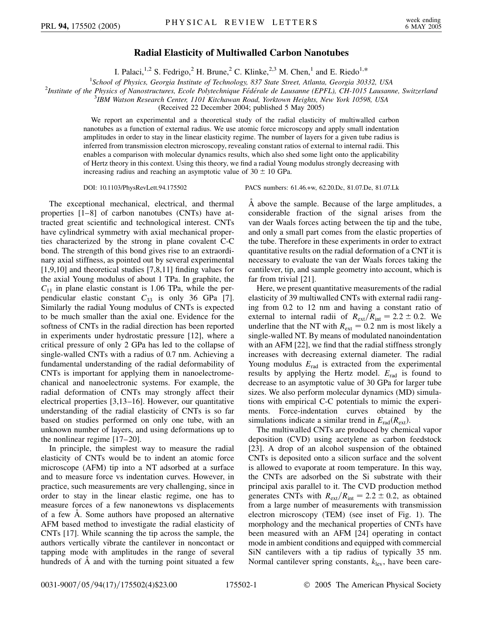## **Radial Elasticity of Multiwalled Carbon Nanotubes**

I. Palaci,<sup>1,2</sup> S. Fedrigo,<sup>2</sup> H. Brune,<sup>2</sup> C. Klinke,<sup>2,3</sup> M. Chen,<sup>1</sup> and E. Riedo<sup>1,\*</sup>

<sup>1</sup> School of Physics, Georgia Institute of Technology, 837 State Street, Atlanta, Georgia 30332, USA<br><sup>2</sup> Institute of the Physics of Nanostructures, Ecole Polytechnique Eédérale de Lausanne (EPEL), CH 1015 Lausann

<sup>2</sup>Institute of the Physics of Nanostructures, Ecole Polytechnique Fédérale de Lausanne (EPFL), CH-1015 Lausanne, Switzerland

*IBM Watson Research Center, 1101 Kitchawan Road, Yorktown Heights, New York 10598, USA*

(Received 22 December 2004; published 5 May 2005)

We report an experimental and a theoretical study of the radial elasticity of multiwalled carbon nanotubes as a function of external radius. We use atomic force microscopy and apply small indentation amplitudes in order to stay in the linear elasticity regime. The number of layers for a given tube radius is inferred from transmission electron microscopy, revealing constant ratios of external to internal radii. This enables a comparison with molecular dynamics results, which also shed some light onto the applicability of Hertz theory in this context. Using this theory, we find a radial Young modulus strongly decreasing with increasing radius and reaching an asymptotic value of  $30 \pm 10$  GPa.

The exceptional mechanical, electrical, and thermal properties [1–8] of carbon nanotubes (CNTs) have attracted great scientific and technological interest. CNTs have cylindrical symmetry with axial mechanical properties characterized by the strong in plane covalent C-C bond. The strength of this bond gives rise to an extraordinary axial stiffness, as pointed out by several experimental [1,9,10] and theoretical studies [7,8,11] finding values for the axial Young modulus of about 1 TPa. In graphite, the  $C_{11}$  in plane elastic constant is 1.06 TPa, while the perpendicular elastic constant  $C_{33}$  is only 36 GPa [7]. Similarly the radial Young modulus of CNTs is expected to be much smaller than the axial one. Evidence for the softness of CNTs in the radial direction has been reported in experiments under hydrostatic pressure [12], where a critical pressure of only 2 GPa has led to the collapse of single-walled CNTs with a radius of 0.7 nm. Achieving a fundamental understanding of the radial deformability of CNTs is important for applying them in nanoelectromechanical and nanoelectronic systems. For example, the radial deformation of CNTs may strongly affect their electrical properties [3,13–16]. However, our quantitative understanding of the radial elasticity of CNTs is so far based on studies performed on only one tube, with an unknown number of layers, and using deformations up to the nonlinear regime [17–20].

In principle, the simplest way to measure the radial elasticity of CNTs would be to indent an atomic force microscope (AFM) tip into a NT adsorbed at a surface and to measure force vs indentation curves. However, in practice, such measurements are very challenging, since in order to stay in the linear elastic regime, one has to measure forces of a few nanonewtons vs displacements of a few A˚ . Some authors have proposed an alternative AFM based method to investigate the radial elasticity of CNTs [17]. While scanning the tip across the sample, the authors vertically vibrate the cantilever in noncontact or tapping mode with amplitudes in the range of several hundreds of A and with the turning point situated a few

DOI: 10.1103/PhysRevLett.94.175502 PACS numbers: 61.46.+w, 62.20.Dc, 81.07.De, 81.07.Lk

A above the sample. Because of the large amplitudes, a considerable fraction of the signal arises from the van der Waals forces acting between the tip and the tube, and only a small part comes from the elastic properties of the tube. Therefore in these experiments in order to extract quantitative results on the radial deformation of a CNT it is necessary to evaluate the van der Waals forces taking the cantilever, tip, and sample geometry into account, which is far from trivial [21].

Here, we present quantitative measurements of the radial elasticity of 39 multiwalled CNTs with external radii ranging from 0.2 to 12 nm and having a constant ratio of external to internal radii of  $R_{ext}/R_{int} = 2.2 \pm 0.2$ . We underline that the NT with  $R_{ext} = 0.2$  nm is most likely a single-walled NT. By means of modulated nanoindentation with an AFM [22], we find that the radial stiffness strongly increases with decreasing external diameter. The radial Young modulus  $E_{rad}$  is extracted from the experimental results by applying the Hertz model.  $E_{rad}$  is found to decrease to an asymptotic value of 30 GPa for larger tube sizes. We also perform molecular dynamics (MD) simulations with empirical C-C potentials to mimic the experiments. Force-indentation curves obtained by the simulations indicate a similar trend in  $E_{rad}(R_{ext})$ .

The multiwalled CNTs are produced by chemical vapor deposition (CVD) using acetylene as carbon feedstock [23]. A drop of an alcohol suspension of the obtained CNTs is deposited onto a silicon surface and the solvent is allowed to evaporate at room temperature. In this way, the CNTs are adsorbed on the Si substrate with their principal axis parallel to it. The CVD production method generates CNTs with  $R_{ext}/R_{int} = 2.2 \pm 0.2$ , as obtained from a large number of measurements with transmission electron microscopy (TEM) (see inset of Fig. 1). The morphology and the mechanical properties of CNTs have been measured with an AFM [24] operating in contact mode in ambient conditions and equipped with commercial SiN cantilevers with a tip radius of typically 35 nm. Normal cantilever spring constants,  $k_{\text{lev}}$ , have been care-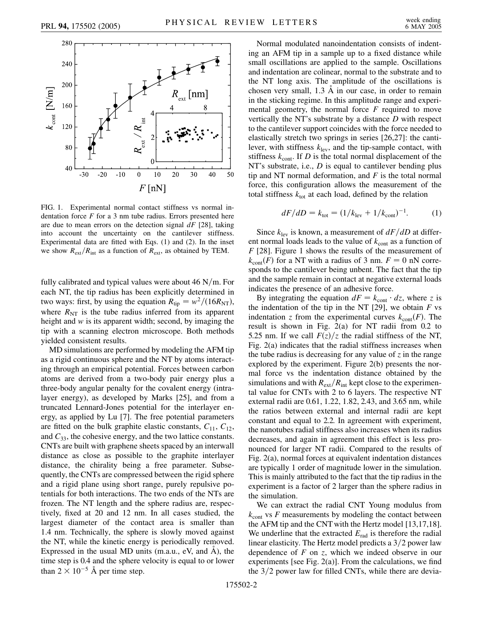

FIG. 1. Experimental normal contact stiffness vs normal indentation force *F* for a 3 nm tube radius. Errors presented here are due to mean errors on the detection signal *dF* [28], taking into account the uncertainty on the cantilever stiffness. Experimental data are fitted with Eqs. (1) and (2). In the inset we show  $R_{ext}/R_{int}$  as a function of  $R_{ext}$ , as obtained by TEM.

fully calibrated and typical values were about  $46$  N/m. For each NT, the tip radius has been explicitly determined in two ways: first, by using the equation  $R_{\text{tip}} = w^2/(16R_{\text{NT}})$ , where  $R_{\text{NT}}$  is the tube radius inferred from its apparent height and *w* is its apparent width; second, by imaging the tip with a scanning electron microscope. Both methods yielded consistent results.

MD simulations are performed by modeling the AFM tip as a rigid continuous sphere and the NT by atoms interacting through an empirical potential. Forces between carbon atoms are derived from a two-body pair energy plus a three-body angular penalty for the covalent energy (intralayer energy), as developed by Marks [25], and from a truncated Lennard-Jones potential for the interlayer energy, as applied by Lu [7]. The free potential parameters are fitted on the bulk graphite elastic constants,  $C_{11}$ ,  $C_{12}$ , and *C*33, the cohesive energy, and the two lattice constants. CNTs are built with graphene sheets spaced by an interwall distance as close as possible to the graphite interlayer distance, the chirality being a free parameter. Subsequently, the CNTs are compressed between the rigid sphere and a rigid plane using short range, purely repulsive potentials for both interactions. The two ends of the NTs are frozen. The NT length and the sphere radius are, respectively, fixed at 20 and 12 nm. In all cases studied, the largest diameter of the contact area is smaller than 1.4 nm. Technically, the sphere is slowly moved against the NT, while the kinetic energy is periodically removed. Expressed in the usual MD units  $(m.a.u., eV, and A)$ , the time step is 0.4 and the sphere velocity is equal to or lower than  $2 \times 10^{-5}$  Å per time step.

Normal modulated nanoindentation consists of indenting an AFM tip in a sample up to a fixed distance while small oscillations are applied to the sample. Oscillations and indentation are colinear, normal to the substrate and to the NT long axis. The amplitude of the oscillations is chosen very small,  $1.3 \text{ Å}$  in our case, in order to remain in the sticking regime. In this amplitude range and experimental geometry, the normal force *F* required to move vertically the NT's substrate by a distance *D* with respect to the cantilever support coincides with the force needed to elastically stretch two springs in series [26,27]: the cantilever, with stiffness  $k_{\text{lev}}$ , and the tip-sample contact, with stiffness  $k_{\text{cont}}$ . If *D* is the total normal displacement of the NT's substrate, i.e., *D* is equal to cantilever bending plus tip and NT normal deformation, and *F* is the total normal force, this configuration allows the measurement of the total stiffness  $k_{\text{tot}}$  at each load, defined by the relation

$$
dF/dD = k_{\text{tot}} = (1/k_{\text{lev}} + 1/k_{\text{cont}})^{-1}.
$$
 (1)

Since  $k_{\text{lev}}$  is known, a measurement of  $dF/dD$  at different normal loads leads to the value of  $k_{\text{cont}}$  as a function of *F* [28]. Figure 1 shows the results of the measurement of  $k_{\text{cont}}(F)$  for a NT with a radius of 3 nm.  $F = 0$  nN corresponds to the cantilever being unbent. The fact that the tip and the sample remain in contact at negative external loads indicates the presence of an adhesive force.

By integrating the equation  $dF = k_{\text{cont}} \cdot dz$ , where *z* is the indentation of the tip in the NT  $[29]$ , we obtain *F* vs indentation *z* from the experimental curves  $k_{\text{cont}}(F)$ . The result is shown in Fig. 2(a) for NT radii from 0.2 to 5.25 nm. If we call  $F(z)/z$  the radial stiffness of the NT, Fig. 2(a) indicates that the radial stiffness increases when the tube radius is decreasing for any value of  $\zeta$  in the range explored by the experiment. Figure 2(b) presents the normal force vs the indentation distance obtained by the simulations and with  $R_{ext}/R_{int}$  kept close to the experimental value for CNTs with 2 to 6 layers. The respective NT external radii are 0.61, 1.22, 1.82, 2.43, and 3.65 nm, while the ratios between external and internal radii are kept constant and equal to 2.2. In agreement with experiment, the nanotubes radial stiffness also increases when its radius decreases, and again in agreement this effect is less pronounced for larger NT radii. Compared to the results of Fig. 2(a), normal forces at equivalent indentation distances are typically 1 order of magnitude lower in the simulation. This is mainly attributed to the fact that the tip radius in the experiment is a factor of 2 larger than the sphere radius in the simulation.

We can extract the radial CNT Young modulus from  $k_{\text{cont}}$  vs  $F$  measurements by modeling the contact between the AFM tip and the CNT with the Hertz model [13,17,18]. We underline that the extracted  $E_{rad}$  is therefore the radial linear elasticity. The Hertz model predicts a 3/2 power law dependence of *F* on *z*, which we indeed observe in our experiments [see Fig. 2(a)]. From the calculations, we find the 3/2 power law for filled CNTs, while there are devia-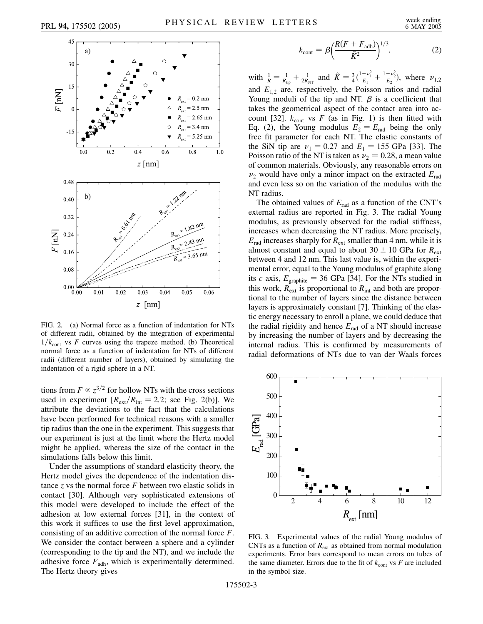

FIG. 2. (a) Normal force as a function of indentation for NTs of different radii, obtained by the integration of experimental  $1/k<sub>cont</sub>$  vs *F* curves using the trapeze method. (b) Theoretical normal force as a function of indentation for NTs of different radii (different number of layers), obtained by simulating the indentation of a rigid sphere in a NT.

tions from  $F \propto z^{3/2}$  for hollow NTs with the cross sections used in experiment  $[R_{\text{ext}}/R_{\text{int}} = 2.2$ ; see Fig. 2(b)]. We attribute the deviations to the fact that the calculations have been performed for technical reasons with a smaller tip radius than the one in the experiment. This suggests that our experiment is just at the limit where the Hertz model might be applied, whereas the size of the contact in the simulations falls below this limit.

Under the assumptions of standard elasticity theory, the Hertz model gives the dependence of the indentation distance *z* vs the normal force *F* between two elastic solids in contact [30]. Although very sophisticated extensions of this model were developed to include the effect of the adhesion at low external forces [31], in the context of this work it suffices to use the first level approximation, consisting of an additive correction of the normal force *F*. We consider the contact between a sphere and a cylinder (corresponding to the tip and the NT), and we include the adhesive force  $F_{\text{adh}}$ , which is experimentally determined. The Hertz theory gives

$$
k_{\text{cont}} = \beta \left( \frac{R(F + F_{\text{adh}})}{\tilde{K}^2} \right)^{1/3},\tag{2}
$$

with  $\frac{1}{R} = \frac{1}{R_{\text{tip}}} + \frac{1}{2R_{\text{NT}}}$  and  $\tilde{K} = \frac{3}{4}(\frac{1-\nu_1^2}{E_1} + \frac{1-\nu_2^2}{E_2})$ , where  $\nu_{1,2}$ and  $E_{1,2}$  are, respectively, the Poisson ratios and radial Young moduli of the tip and NT.  $\beta$  is a coefficient that takes the geometrical aspect of the contact area into account [32].  $k_{\text{cont}}$  vs  $F$  (as in Fig. 1) is then fitted with Eq. (2), the Young modulus  $E_2 = E_{rad}$  being the only free fit parameter for each NT. The elastic constants of the SiN tip are  $v_1 = 0.27$  and  $E_1 = 155$  GPa [33]. The Poisson ratio of the NT is taken as  $\nu_2 = 0.28$ , a mean value of common materials. Obviously, any reasonable errors on  $\nu_2$  would have only a minor impact on the extracted  $E_{rad}$ and even less so on the variation of the modulus with the NT radius.

The obtained values of  $E_{rad}$  as a function of the CNT's external radius are reported in Fig. 3. The radial Young modulus, as previously observed for the radial stiffness, increases when decreasing the NT radius. More precisely,  $E_{\text{rad}}$  increases sharply for  $R_{\text{ext}}$  smaller than 4 nm, while it is almost constant and equal to about  $30 \pm 10$  GPa for  $R_{ext}$ between 4 and 12 nm. This last value is, within the experimental error, equal to the Young modulus of graphite along its *c* axis,  $E_{\text{graphite}} = 36 \text{ GPa}$  [34]. For the NTs studied in this work,  $R_{ext}$  is proportional to  $R_{int}$  and both are proportional to the number of layers since the distance between layers is approximately constant [7]. Thinking of the elastic energy necessary to enroll a plane, we could deduce that the radial rigidity and hence  $E_{rad}$  of a NT should increase by increasing the number of layers and by decreasing the internal radius. This is confirmed by measurements of radial deformations of NTs due to van der Waals forces



FIG. 3. Experimental values of the radial Young modulus of CNTs as a function of  $R_{ext}$  as obtained from normal modulation experiments. Error bars correspond to mean errors on tubes of the same diameter. Errors due to the fit of  $k_{\text{cont}}$  vs  $F$  are included in the symbol size.